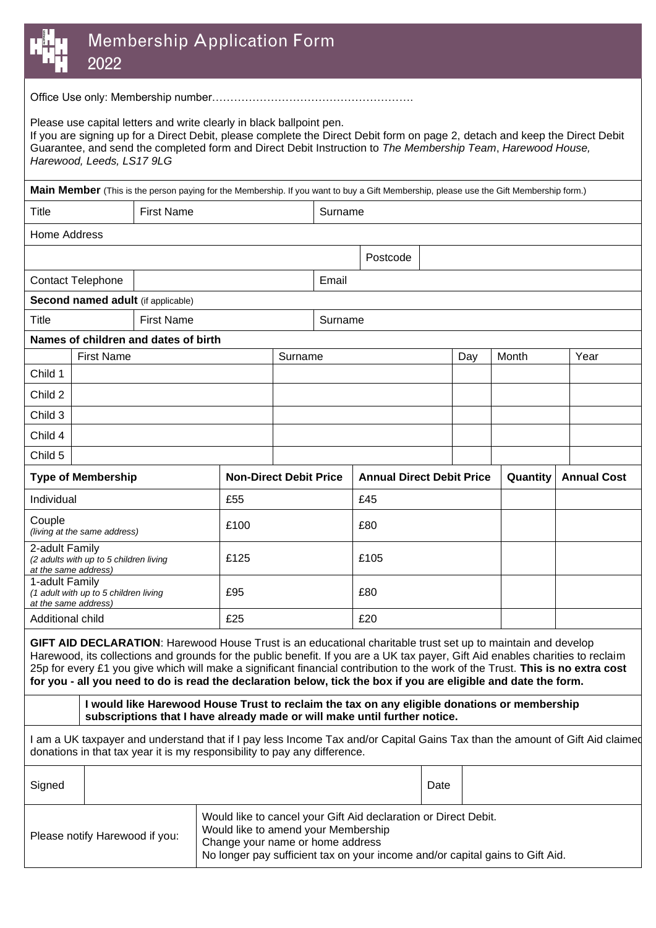

## Membership Application Form 2022

Office Use only: Membership number……………………………………………….

Please use capital letters and write clearly in black ballpoint pen.

If you are signing up for a Direct Debit, please complete the Direct Debit form on page 2, detach and keep the Direct Debit Guarantee, and send the completed form and Direct Debit Instruction to *The Membership Team*, *Harewood House, Harewood, Leeds, LS17 9LG*

|                                                                                  |                                    | Main Member (This is the person paying for the Membership. If you want to buy a Gift Membership, please use the Gift Membership form.)                                                                                                                                                                                                                                                                                                                                                              |                               |         |         |                                  |      |     |          |                    |      |
|----------------------------------------------------------------------------------|------------------------------------|-----------------------------------------------------------------------------------------------------------------------------------------------------------------------------------------------------------------------------------------------------------------------------------------------------------------------------------------------------------------------------------------------------------------------------------------------------------------------------------------------------|-------------------------------|---------|---------|----------------------------------|------|-----|----------|--------------------|------|
| <b>Title</b>                                                                     |                                    | <b>First Name</b>                                                                                                                                                                                                                                                                                                                                                                                                                                                                                   |                               |         | Surname |                                  |      |     |          |                    |      |
| Home Address                                                                     |                                    |                                                                                                                                                                                                                                                                                                                                                                                                                                                                                                     |                               |         |         |                                  |      |     |          |                    |      |
|                                                                                  |                                    |                                                                                                                                                                                                                                                                                                                                                                                                                                                                                                     |                               |         |         | Postcode                         |      |     |          |                    |      |
| <b>Contact Telephone</b>                                                         |                                    |                                                                                                                                                                                                                                                                                                                                                                                                                                                                                                     |                               |         | Email   |                                  |      |     |          |                    |      |
|                                                                                  | Second named adult (if applicable) |                                                                                                                                                                                                                                                                                                                                                                                                                                                                                                     |                               |         |         |                                  |      |     |          |                    |      |
| <b>Title</b>                                                                     |                                    | <b>First Name</b>                                                                                                                                                                                                                                                                                                                                                                                                                                                                                   |                               | Surname |         |                                  |      |     |          |                    |      |
|                                                                                  |                                    | Names of children and dates of birth                                                                                                                                                                                                                                                                                                                                                                                                                                                                |                               |         |         |                                  |      |     |          |                    |      |
|                                                                                  | <b>First Name</b>                  |                                                                                                                                                                                                                                                                                                                                                                                                                                                                                                     |                               | Surname |         |                                  |      | Day | Month    |                    | Year |
| Child 1                                                                          |                                    |                                                                                                                                                                                                                                                                                                                                                                                                                                                                                                     |                               |         |         |                                  |      |     |          |                    |      |
| Child 2                                                                          |                                    |                                                                                                                                                                                                                                                                                                                                                                                                                                                                                                     |                               |         |         |                                  |      |     |          |                    |      |
| Child 3                                                                          |                                    |                                                                                                                                                                                                                                                                                                                                                                                                                                                                                                     |                               |         |         |                                  |      |     |          |                    |      |
| Child 4                                                                          |                                    |                                                                                                                                                                                                                                                                                                                                                                                                                                                                                                     |                               |         |         |                                  |      |     |          |                    |      |
| Child 5                                                                          |                                    |                                                                                                                                                                                                                                                                                                                                                                                                                                                                                                     |                               |         |         |                                  |      |     |          |                    |      |
| <b>Type of Membership</b>                                                        |                                    |                                                                                                                                                                                                                                                                                                                                                                                                                                                                                                     | <b>Non-Direct Debit Price</b> |         |         | <b>Annual Direct Debit Price</b> |      |     | Quantity | <b>Annual Cost</b> |      |
| Individual                                                                       |                                    |                                                                                                                                                                                                                                                                                                                                                                                                                                                                                                     | £55                           |         |         | £45                              |      |     |          |                    |      |
| Couple<br>(living at the same address)                                           |                                    |                                                                                                                                                                                                                                                                                                                                                                                                                                                                                                     | £100                          |         |         | £80                              |      |     |          |                    |      |
| 2-adult Family<br>(2 adults with up to 5 children living<br>at the same address) |                                    |                                                                                                                                                                                                                                                                                                                                                                                                                                                                                                     | £125                          |         |         | £105                             |      |     |          |                    |      |
| 1-adult Family<br>(1 adult with up to 5 children living<br>at the same address)  |                                    | £95                                                                                                                                                                                                                                                                                                                                                                                                                                                                                                 |                               |         | £80     |                                  |      |     |          |                    |      |
| Additional child                                                                 |                                    | £25                                                                                                                                                                                                                                                                                                                                                                                                                                                                                                 |                               |         | £20     |                                  |      |     |          |                    |      |
|                                                                                  |                                    | GIFT AID DECLARATION: Harewood House Trust is an educational charitable trust set up to maintain and develop<br>Harewood, its collections and grounds for the public benefit. If you are a UK tax payer, Gift Aid enables charities to reclaim<br>25p for every £1 you give which will make a significant financial contribution to the work of the Trust. This is no extra cost<br>for you - all you need to do is read the declaration below, tick the box if you are eligible and date the form. |                               |         |         |                                  |      |     |          |                    |      |
|                                                                                  |                                    | I would like Harewood House Trust to reclaim the tax on any eligible donations or membership<br>subscriptions that I have already made or will make until further notice.                                                                                                                                                                                                                                                                                                                           |                               |         |         |                                  |      |     |          |                    |      |
|                                                                                  |                                    | I am a UK taxpayer and understand that if I pay less Income Tax and/or Capital Gains Tax than the amount of Gift Aid claimed<br>donations in that tax year it is my responsibility to pay any difference.                                                                                                                                                                                                                                                                                           |                               |         |         |                                  |      |     |          |                    |      |
| Sinned                                                                           |                                    |                                                                                                                                                                                                                                                                                                                                                                                                                                                                                                     |                               |         |         |                                  | Date |     |          |                    |      |

| Signed                         |  |                                                                                                                                                                                                                             | Date |  |  |  |  |
|--------------------------------|--|-----------------------------------------------------------------------------------------------------------------------------------------------------------------------------------------------------------------------------|------|--|--|--|--|
| Please notify Harewood if you: |  | Would like to cancel your Gift Aid declaration or Direct Debit.<br>Would like to amend your Membership<br>Change your name or home address<br>No longer pay sufficient tax on your income and/or capital gains to Gift Aid. |      |  |  |  |  |